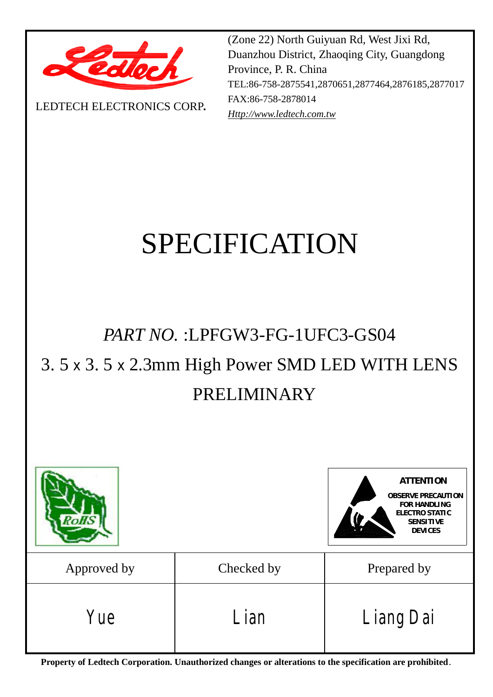

LEDTECH ELECTRONICS CORP**.**

(Zone 22) North Guiyuan Rd, West Jixi Rd, Duanzhou District, Zhaoqing City, Guangdong Province, P. R. China TEL:86-758-2875541,2870651,2877464,2876185,2877017 FAX:86-758-2878014 *[Http://www.ledtech.com.tw](http://www.ledtech.com.tw)*

# SPECIFICATION

# *PART NO.* :LPFGW3-FG-1UFC3-GS04

# 3. 5 x 3. 5 x 2.3mm High Power SMD LED WITH LENS PRELIMINARY



**Property of Ledtech Corporation. Unauthorized changes or alterations to the specification are prohibited***.*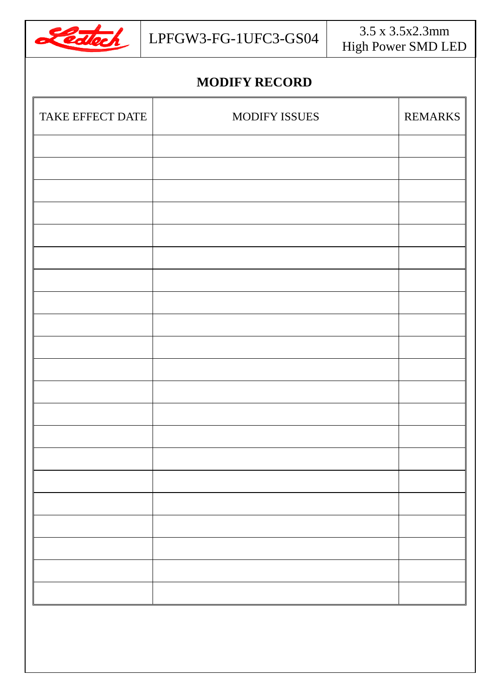

### **MODIFY RECORD**

| TAKE EFFECT DATE | MODIFY ISSUES | REMARKS |
|------------------|---------------|---------|
|                  |               |         |
|                  |               |         |
|                  |               |         |
|                  |               |         |
|                  |               |         |
|                  |               |         |
|                  |               |         |
|                  |               |         |
|                  |               |         |
|                  |               |         |
|                  |               |         |
|                  |               |         |
|                  |               |         |
|                  |               |         |
|                  |               |         |
|                  |               |         |
|                  |               |         |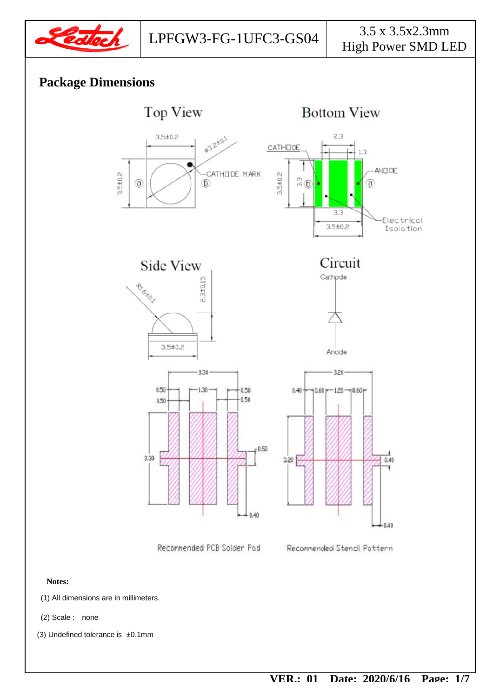

#### **Package Dimensions**

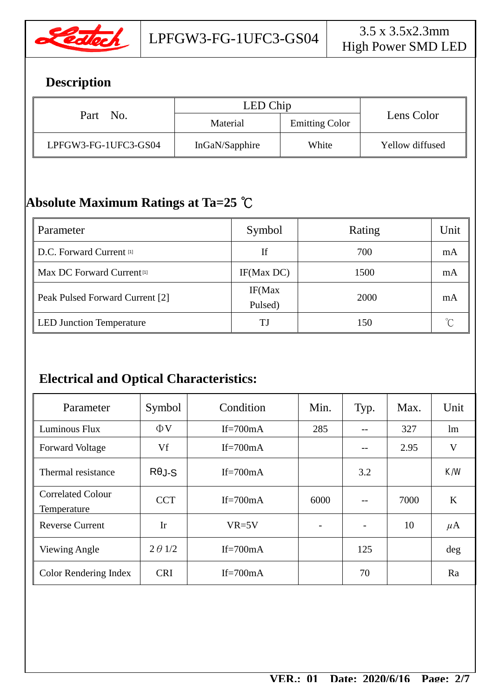

# **Description**

| Part No.             | LED Chip       |                       |                 |  |
|----------------------|----------------|-----------------------|-----------------|--|
|                      | Material       | <b>Emitting Color</b> | Lens Color      |  |
| LPFGW3-FG-1UFC3-GS04 | InGaN/Sapphire | White                 | Yellow diffused |  |

# **Absolute Maximum Ratings at Ta=25 ℃**

| Parameter                             | Symbol             | Rating | Unit |
|---------------------------------------|--------------------|--------|------|
| D.C. Forward Current [1]              | If                 | 700    | mA   |
| Max DC Forward Current <sup>[1]</sup> | IF(Max DC)         | 1500   | mA   |
| Peak Pulsed Forward Current [2]       | IF(Max)<br>Pulsed) | 2000   | mA   |
| <b>LED Junction Temperature</b>       | TJ                 | 150    |      |

# **Electrical and Optical Characteristics:**

| Parameter                               | Symbol         | Condition   | Min.                     | Typ. | Max. | Unit    |
|-----------------------------------------|----------------|-------------|--------------------------|------|------|---------|
| Luminous Flux                           | $\Phi$ V       | If= $700mA$ | 285                      |      | 327  | lm      |
| <b>Forward Voltage</b>                  | Vf             | If= $700mA$ |                          |      | 2.95 | V       |
| Thermal resistance                      | $R\theta$ J-S  | If= $700mA$ |                          | 3.2  |      | K/W     |
| <b>Correlated Colour</b><br>Temperature | <b>CCT</b>     | If= $700mA$ | 6000                     |      | 7000 | K       |
| <b>Reverse Current</b>                  | Ir             | $VR=5V$     | $\overline{\phantom{a}}$ |      | 10   | $\mu$ A |
| Viewing Angle                           | $2 \theta$ 1/2 | If= $700mA$ |                          | 125  |      | deg     |
| Color Rendering Index                   | <b>CRI</b>     | If= $700mA$ |                          | 70   |      | Ra      |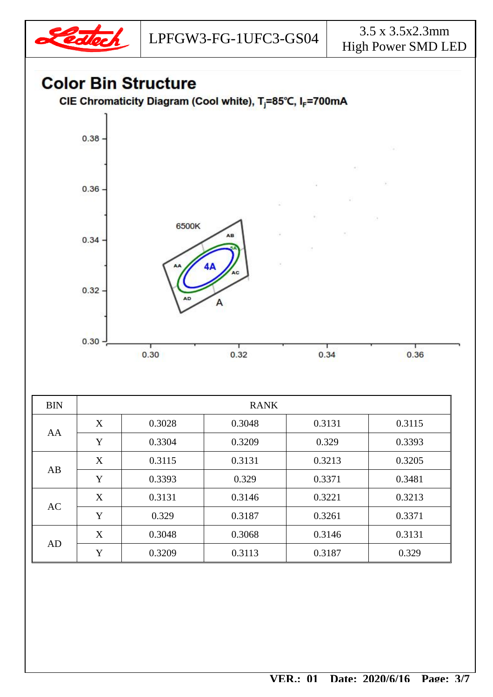

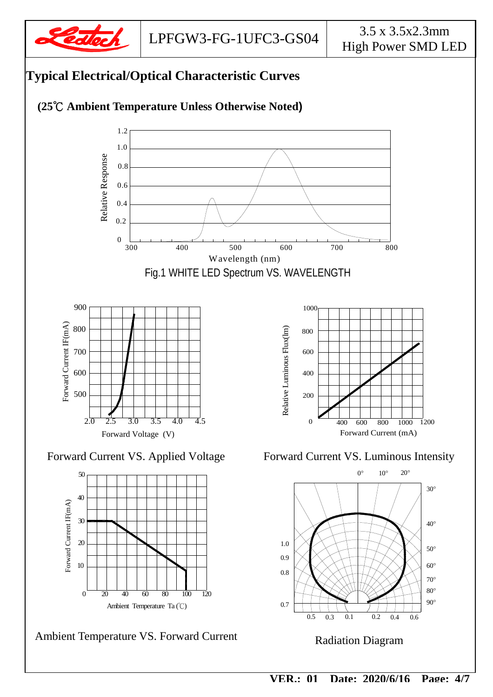





Ambient Temperature VS. Forward Current

 $\frac{1}{120}$   $\frac{1}{120}$   $\frac{1}{120}$   $\frac{1}{120}$   $\frac{1}{120}$   $\frac{1}{120}$   $\frac{1}{120}$   $\frac{1}{120}$   $\frac{1}{120}$   $\frac{1}{120}$   $\frac{1}{120}$   $\frac{1}{120}$   $\frac{1}{120}$   $\frac{1}{120}$   $\frac{1}{120}$   $\frac{1}{120}$   $\frac{1}{120}$   $\frac{1}{120}$   $\frac{1$ 90° 60° 70° 50° 30° 40°  $0.5$  0.3 0.1 0.7 0.8  $0.3$ 1.0 0.9  $0.2$  0.4 0.6  $10^{\circ}$   $20^{\circ}$ 

#### Radiation Diagram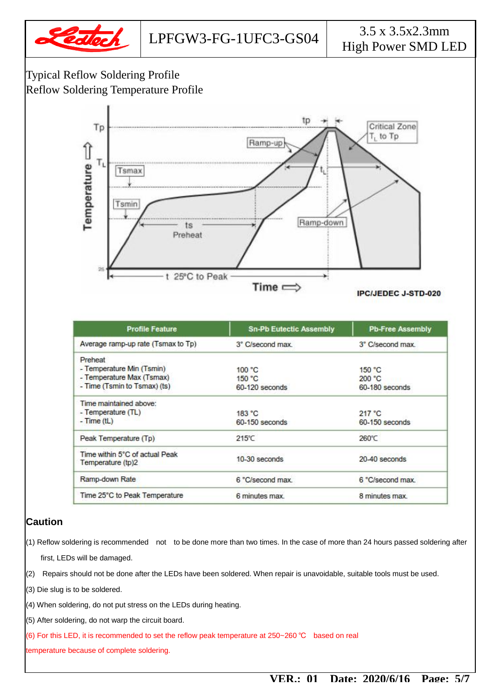

#### Typical Reflow Soldering Profile Reflow Soldering Temperature Profile



| <b>Profile Feature</b>                              | <b>Sn-Pb Eutectic Assembly</b> | <b>Pb-Free Assembly</b> |
|-----------------------------------------------------|--------------------------------|-------------------------|
| Average ramp-up rate (Tsmax to Tp)                  | 3° C/second max.               | 3° C/second max.        |
| Preheat                                             |                                |                         |
| - Temperature Min (Tsmin)                           | 100 °C                         | 150 °C                  |
| - Temperature Max (Tsmax)                           | 150 °C                         | 200 °C                  |
| - Time (Tsmin to Tsmax) (ts)                        | 60-120 seconds                 | 60-180 seconds          |
| Time maintained above:                              |                                |                         |
| - Temperature (TL)                                  | 183 °C                         | 217 °C                  |
| $-Time$ (tL)                                        | 60-150 seconds                 | 60-150 seconds          |
| Peak Temperature (Tp)                               | 215°C                          | 260°C                   |
| Time within 5°C of actual Peak<br>Temperature (tp)2 | $10-30$ seconds                | 20-40 seconds           |
| Ramp-down Rate                                      | 6 °C/second max.               | 6 °C/second max.        |
| Time 25°C to Peak Temperature                       | 6 minutes max.                 | 8 minutes max.          |

#### **Caution**

- (1) Reflow soldering is recommended not to be done more than two times. In the case of more than 24 hours passed soldering after first, LEDs will be damaged.
- $(2)$  Repairs should not be done after the LEDs have been soldered. When repair is unavoidable, suitable tools must be used.
- (3) Die slug is to be soldered.
- (4) When soldering, do not put stress on the LEDs during heating.
- (5) After soldering, do not warp the circuit board.
- (6) For this LED, it is recommended to set the reflow peak temperature at 250~260 ℃ based on real

temperature because of complete soldering.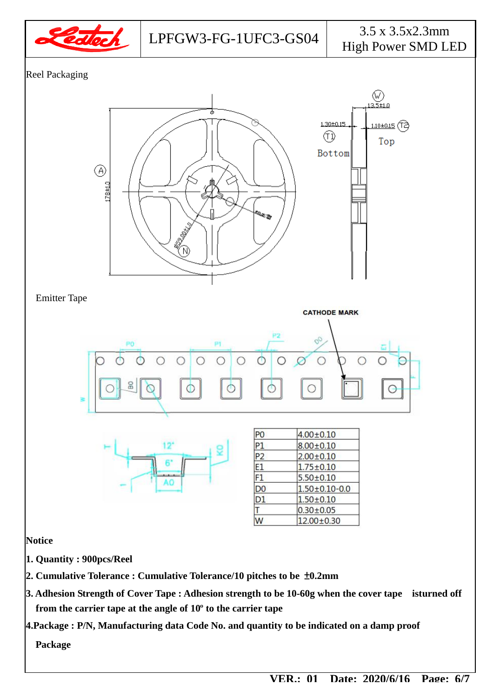

Reel Packaging



**4.Package : P/N, Manufacturing data Code No. and quantity to be indicated on a damp proof** 

**Package**